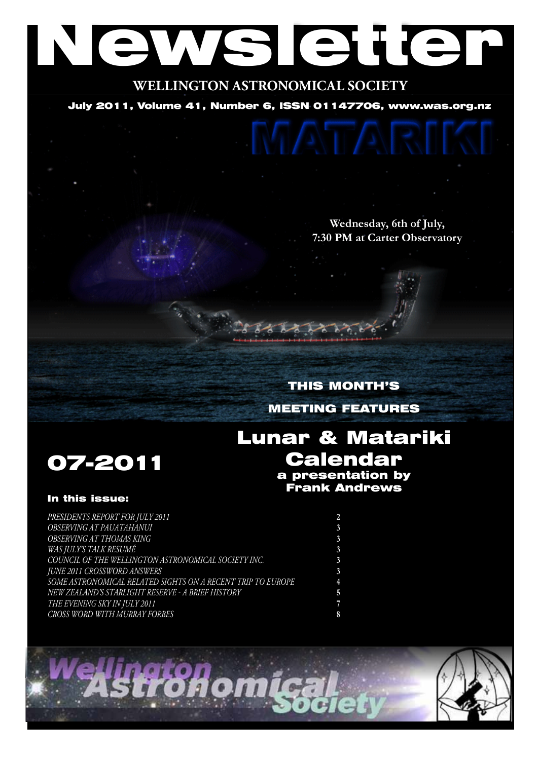# Newsletter

**WELLINGTON ASTRONOMICAL SOCIETY**

July 2011, Volume 41, Number 6, ISSN 01147706, www.was.org.nz

**Wednesday, 6th of July, 7:30 PM at Carter Observatory**

# THIS MONTH'S MEETING FEATURES

Lunar & Matariki

Calendar a presentation by Frank Andrews



# In this issue:

| PRESIDENTS REPORT FOR JULY 2011                             |  |
|-------------------------------------------------------------|--|
|                                                             |  |
| OBSERVING AT PAUATAHANUI                                    |  |
| OBSERVING AT THOMAS KING                                    |  |
| <b>WAS JULY'S TALK RESUMÉ</b>                               |  |
| COUNCIL OF THE WELLINGTON ASTRONOMICAL SOCIETY INC.         |  |
| <b>JUNE 2011 CROSSWORD ANSWERS</b>                          |  |
| SOME ASTRONOMICAL RELATED SIGHTS ON A RECENT TRIP TO EUROPE |  |
| NEW ZEALAND'S STARLIGHT RESERVE - A BRIEF HISTORY           |  |
| THE EVENING SKY IN JULY 2011                                |  |
| CROSS WORD WITH MURRAY FORBES                               |  |

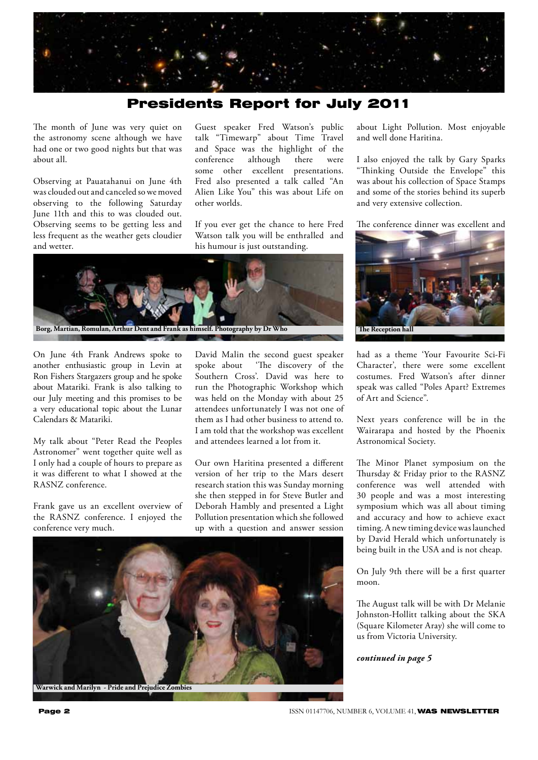

# Presidents Report for July 2011

The month of June was very quiet on the astronomy scene although we have had one or two good nights but that was about all.

Observing at Pauatahanui on June 4th was clouded out and canceled so we moved observing to the following Saturday June 11th and this to was clouded out. Observing seems to be getting less and less frequent as the weather gets cloudier and wetter.

Guest speaker Fred Watson's public talk "Timewarp" about Time Travel and Space was the highlight of the conference although there were some other excellent presentations. Fred also presented a talk called "An Alien Like You" this was about Life on other worlds.

If you ever get the chance to here Fred Watson talk you will be enthralled and his humour is just outstanding.



On June 4th Frank Andrews spoke to another enthusiastic group in Levin at Ron Fishers Stargazers group and he spoke about Matariki. Frank is also talking to our July meeting and this promises to be a very educational topic about the Lunar Calendars & Matariki.

My talk about "Peter Read the Peoples Astronomer" went together quite well as I only had a couple of hours to prepare as it was different to what I showed at the RASNZ conference.

Frank gave us an excellent overview of the RASNZ conference. I enjoyed the conference very much.

David Malin the second guest speaker spoke about 'The discovery of the Southern Cross'. David was here to run the Photographic Workshop which was held on the Monday with about 25 attendees unfortunately I was not one of them as I had other business to attend to. I am told that the workshop was excellent and attendees learned a lot from it.

Our own Haritina presented a different version of her trip to the Mars desert research station this was Sunday morning she then stepped in for Steve Butler and Deborah Hambly and presented a Light Pollution presentation which she followed up with a question and answer session



about Light Pollution. Most enjoyable and well done Haritina.

I also enjoyed the talk by Gary Sparks "Thinking Outside the Envelope" this was about his collection of Space Stamps and some of the stories behind its superb and very extensive collection.

The conference dinner was excellent and



had as a theme 'Your Favourite Sci-Fi Character', there were some excellent costumes. Fred Watson's after dinner speak was called "Poles Apart? Extremes of Art and Science".

Next years conference will be in the Wairarapa and hosted by the Phoenix Astronomical Society.

The Minor Planet symposium on the Thursday & Friday prior to the RASNZ conference was well attended with 30 people and was a most interesting symposium which was all about timing and accuracy and how to achieve exact timing. A new timing device was launched by David Herald which unfortunately is being built in the USA and is not cheap.

On July 9th there will be a first quarter moon.

The August talk will be with Dr Melanie Johnston-Hollitt talking about the SKA (Square Kilometer Aray) she will come to us from Victoria University.

*continued in page 5*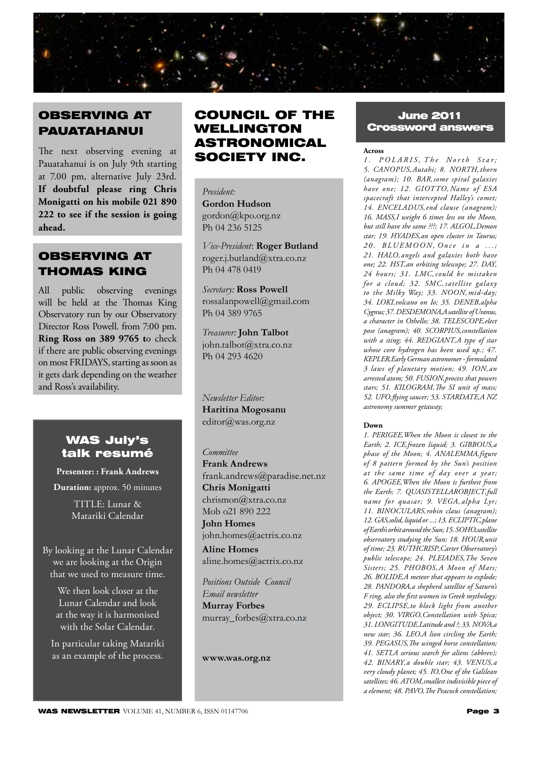

# OBSERVING AT PAUATAHANUI

The next observing evening at Pauatahanui is on July 9th starting at 7.00 pm, alternative July 23rd. **If doubtful please ring Chris Monigatti on his mobile 021 890 222 to see if the session is going ahead.**

# OBSERVING AT THOMAS KING

All public observing evenings will be held at the Thomas King Observatory run by our Observatory Director Ross Powell. from 7:00 pm. **Ring Ross on 389 9765 t**o check if there are public observing evenings on most FRIDAYS, starting as soon as it gets dark depending on the weather and Ross's availability.

# WAS July's talk resumé

**Presenter: : Frank Andrews**

**Duration:** approx. 50 minutes

TITLE: Lunar & Matariki Calendar

By looking at the Lunar Calendar we are looking at the Origin that we used to measure time.

We then look closer at the Lunar Calendar and look at the way it is harmonised with the Solar Calendar.

In particular taking Matariki as an example of the process.

# COUNCIL OF THE WELLINGTON ASTRONOMICAL SOCIETY INC.

*President:*  **Gordon Hudson** gordon@kpo.org.nz Ph 04 236 5125

*Vice-President*: **Roger Butland** roger.j.butland@xtra.co.nz Ph 04 478 0419

*Secretary:* **Ross Powell** rossalanpowell@gmail.com Ph 04 389 9765

*Treasurer:* **John Talbot** john.talbot@xtra.co.nz Ph 04 293 4620

*Newsletter Editor:*  **Haritina Mogosanu** editor@was.org.nz

### *Committee*

**Frank Andrews** frank.andrews@paradise.net.nz **Chris Monigatti** chrismon@xtra.co.nz Mob o21 890 222

**John Homes** john.homes@actrix.co.nz **Aline Homes**

aline.homes@actrix.co.nz

*Positions Outside Council Email newsletter* **Murray Forbes** murray\_forbes@xtra.co.nz

**www.was.org.nz**

# June 2011 Crossword answers

### **Across**

*1 . P OL A RIS ' T h e N o r t h S t a r ;*  5. CANOPUS, Autahi; 8. NORTH, thorn *(anagram); 10. BAR' some spiral galaxies have one; 12. GIOTTO, Name of ESA spacecraft that intercepted Halley's comet;*  14. ENCELADUS, end clause (anagram); 16. MASS, I weight 6 times less on the Moon, *but still have the same ???; 17. ALGOL' Demon star; 19. HYADES'an open cluster in Taurus;*  20. BLUEMOON, Once in a ...; *21. HALO' angels and galaxies both have one; 22. HST'an orbiting telescope; 27. DAY' 24 hours; 31. LMC' could be mistaken for a cloud; 32. SMC' satellite galaxy to the Milky Way; 33. NOON' mid-day; 34. LOKI'volcano on Io; 35. DENEB'alpha Cygnus; 37. DESDEMONA'A satellite of Uranus, a character in Othello; 38. TELESCOPE'elect pose (anagram); 40. SCORPIUS'constellation with a sting; 44. REDGIANT'A type of star whose core hydrogen has been used up.; 47. KEPLER' Early German astronomer - formulated 3 laws of planetary motion; 49. ION' an arrested atom; 50. FUSION'process that powers stars; 51. KILOGRAM'The SI unit of mass; 52. UFO'flying saucer; 53. STARDATE'A NZ astronomy summer getaway;*

### **Down**

*1. PERIGEE'When the Moon is closest to the*  Earth; 2. ICE, frozen liquid; 3. GIBBOUS, a phase of the Moon; 4. ANALEMMA, figure *of 8 pattern formed by the Sun's position at the same time of day over a year; 6. APOGEE'When the Moon is furthest from the Earth; 7. QUASISTELLAROBJECT'full name for quasar*; 9. VEGA, alpha Lyr; *11. BINOCULARS'robin claus (anagram); 12. GAS'solid, liquid or ...; 13. ECLIPTIC'plane of Earth's orbit around the Sun; 15. SOHO'satellite observatory studying the Sun; 18. HOUR'unit of time; 23. RUTHCRISP'Carter Observatory's public telescope; 24. PLEIADES' The Seven*  Sisters; 25. PHOBOS, A Moon of Mars; *26. BOLIDE'A meteor that appears to explode; 28. PANDORA'a shepherd satellite of Saturn's F ring, also the first women in Greek mythology;*  29. ECLIPSE, to block light from another  $object; 30. VIRGO, Constellation with Spica;$ *31. LONGITUDE' Latitude and ?; 33. NOVA'a new star; 36. LEO'A lion circling the Earth; 39. PEGASUS'The winged horse constellation; 41. SETI'A serious search for aliens (abbrev); 42. BINARY'a double star; 43. VENUS'a very cloudy planet; 45. IO, One of the Galilean satellites; 46. ATOM'smallest indivisible piece of a element; 48. PAVO'The Peacock constellation;*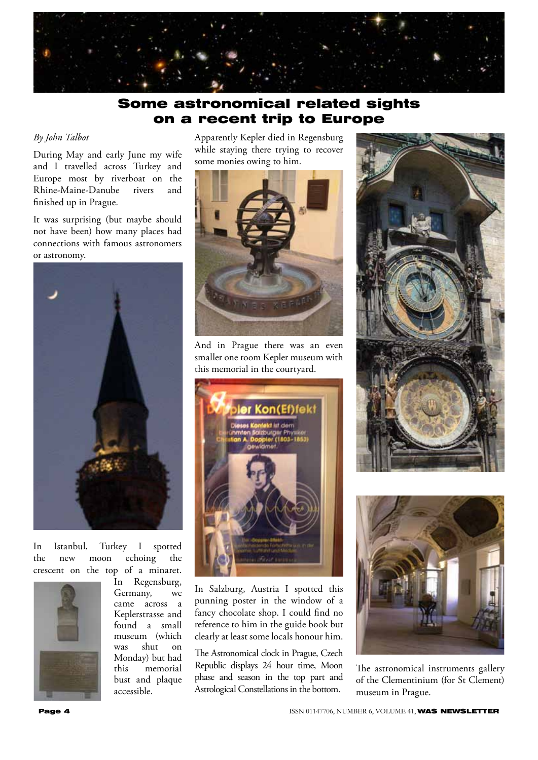

# Some astronomical related sights on a recent trip to Europe

### *By John Talbot*

During May and early June my wife and I travelled across Turkey and Europe most by riverboat on the Rhine-Maine-Danube rivers and finished up in Prague.

It was surprising (but maybe should not have been) how many places had connections with famous astronomers or astronomy.



In Istanbul, Turkey I spotted the new moon echoing the crescent on the top of a minaret.



In Regensburg, Germany, we came across a Keplerstrasse and found a small museum (which was shut on Monday) but had this memorial bust and plaque accessible.

Apparently Kepler died in Regensburg while staying there trying to recover some monies owing to him.



And in Prague there was an even smaller one room Kepler museum with this memorial in the courtyard.



In Salzburg, Austria I spotted this punning poster in the window of a fancy chocolate shop. I could find no reference to him in the guide book but clearly at least some locals honour him.

The Astronomical clock in Prague, Czech Republic displays 24 hour time, Moon phase and season in the top part and Astrological Constellations in the bottom.





The astronomical instruments gallery of the Clementinium (for St Clement) museum in Prague.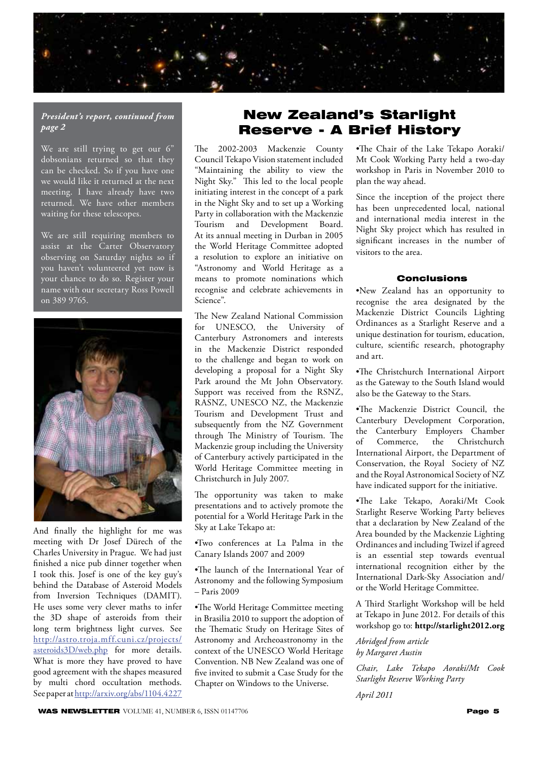

### *President's report, continued from page 2*

We are still trying to get our 6" dobsonians returned so that they can be checked. So if you have one we would like it returned at the next meeting. I have already have two returned. We have other members waiting for these telescopes.

We are still requiring members to assist at the Carter Observatory observing on Saturday nights so if you haven't volunteered yet now is your chance to do so. Register your name with our secretary Ross Powell on 389 9765.



And finally the highlight for me was meeting with Dr Josef Dürech of the Charles University in Prague. We had just finished a nice pub dinner together when I took this. Josef is one of the key guy's behind the Database of Asteroid Models from Inversion Techniques (DAMIT). He uses some very clever maths to infer the 3D shape of asteroids from their long term brightness light curves. See http://astro.troja.mff.cuni.cz/projects/ asteroids3D/web.php for more details. What is more they have proved to have good agreement with the shapes measured by multi chord occultation methods. See paper at http://arxiv.org/abs/1104.4227

# New Zealand's Starlight Reserve - A Brief History

The 2002-2003 Mackenzie County Council Tekapo Vision statement included "Maintaining the ability to view the Night Sky." This led to the local people initiating interest in the concept of a park in the Night Sky and to set up a Working Party in collaboration with the Mackenzie Tourism and Development Board. At its annual meeting in Durban in 2005 the World Heritage Committee adopted a resolution to explore an initiative on "Astronomy and World Heritage as a means to promote nominations which recognise and celebrate achievements in Science".

The New Zealand National Commission for UNESCO, the University of Canterbury Astronomers and interests in the Mackenzie District responded to the challenge and began to work on developing a proposal for a Night Sky Park around the Mt John Observatory. Support was received from the RSNZ, RASNZ, UNESCO NZ, the Mackenzie Tourism and Development Trust and subsequently from the NZ Government through The Ministry of Tourism. The Mackenzie group including the University of Canterbury actively participated in the World Heritage Committee meeting in Christchurch in July 2007.

The opportunity was taken to make presentations and to actively promote the potential for a World Heritage Park in the Sky at Lake Tekapo at:

•Two conferences at La Palma in the Canary Islands 2007 and 2009

•The launch of the International Year of Astronomy and the following Symposium – Paris 2009

•The World Heritage Committee meeting in Brasilia 2010 to support the adoption of the Thematic Study on Heritage Sites of Astronomy and Archeoastronomy in the context of the UNESCO World Heritage Convention. NB New Zealand was one of five invited to submit a Case Study for the Chapter on Windows to the Universe.

•The Chair of the Lake Tekapo Aoraki/ Mt Cook Working Party held a two-day workshop in Paris in November 2010 to plan the way ahead.

Since the inception of the project there has been unprecedented local, national and international media interest in the Night Sky project which has resulted in significant increases in the number of visitors to the area.

### Conclusions

•New Zealand has an opportunity to recognise the area designated by the Mackenzie District Councils Lighting Ordinances as a Starlight Reserve and a unique destination for tourism, education, culture, scientific research, photography and art.

•The Christchurch International Airport as the Gateway to the South Island would also be the Gateway to the Stars.

•The Mackenzie District Council, the Canterbury Development Corporation, the Canterbury Employers Chamber<br>of Commerce, the Christchurch Christchurch International Airport, the Department of Conservation, the Royal Society of NZ and the Royal Astronomical Society of NZ have indicated support for the initiative.

•The Lake Tekapo, Aoraki/Mt Cook Starlight Reserve Working Party believes that a declaration by New Zealand of the Area bounded by the Mackenzie Lighting Ordinances and including Twizel if agreed is an essential step towards eventual international recognition either by the International Dark-Sky Association and/ or the World Heritage Committee.

A Third Starlight Workshop will be held at Tekapo in June 2012. For details of this workshop go to: **http://starlight2012.org**

*Abridged from article by Margaret Austin*

*Chair, Lake Tekapo Aoraki/Mt Cook Starlight Reserve Working Party* 

*April 2011*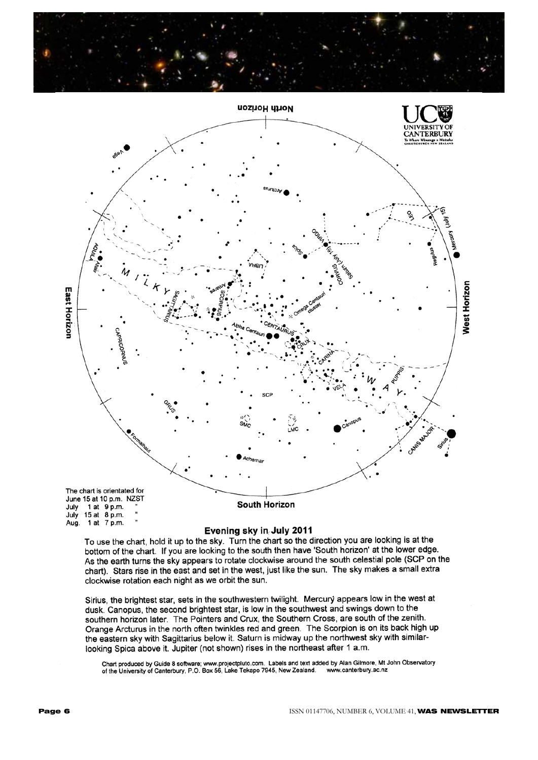



## Evening sky in July 2011

To use the chart, hold it up to the sky. Turn the chart so the direction you are looking is at the bottom of the chart. If you are looking to the south then have 'South horizon' at the lower edge. As the earth turns the sky appears to rotate clockwise around the south celestial pole (SCP on the chart). Stars rise in the east and set in the west, just like the sun. The sky makes a small extra clockwise rotation each night as we orbit the sun.

Sirius, the brightest star, sets in the southwestern twilight. Mercury appears low in the west at dusk. Canopus, the second brightest star, is low in the southwest and swings down to the southern horizon later. The Pointers and Crux, the Southern Cross, are south of the zenith. Orange Arcturus in the north often twinkles red and green. The Scorpion is on its back high up the eastern sky with Sagittarius below it. Saturn is midway up the northwest sky with similarlooking Spica above it. Jupiter (not shown) rises in the northeast after 1 a.m.

Chart produced by Guide 8 software; www.projectpluto.com. Labels and text added by Alan Gilmore, Mt John Observatory<br>of the University of Canterbury, P.O. Box 56, Lake Tekapo 7945, New Zealand. www.canterbury.ac.nz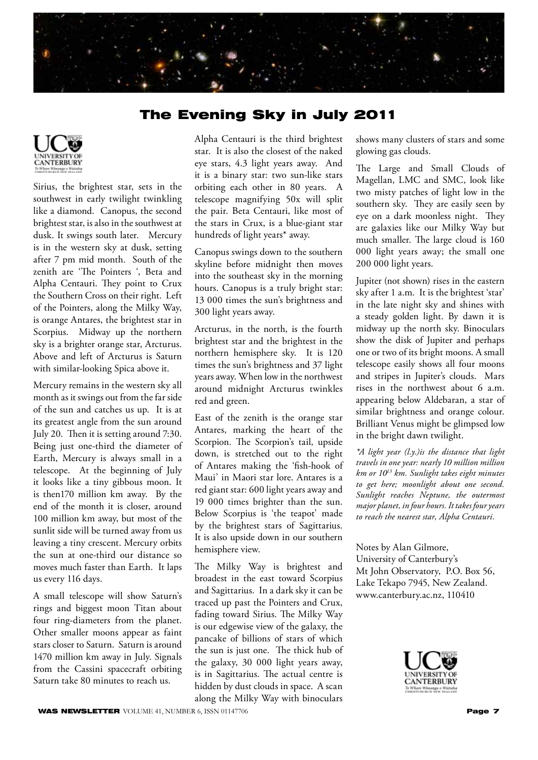

# The Evening Sky in July 2011



Sirius, the brightest star, sets in the southwest in early twilight twinkling like a diamond. Canopus, the second brightest star, is also in the southwest at dusk. It swings south later. Mercury is in the western sky at dusk, setting after 7 pm mid month. South of the zenith are 'The Pointers ', Beta and Alpha Centauri. They point to Crux the Southern Cross on their right. Left of the Pointers, along the Milky Way, is orange Antares, the brightest star in Scorpius. Midway up the northern sky is a brighter orange star, Arcturus. Above and left of Arcturus is Saturn with similar-looking Spica above it.

Mercury remains in the western sky all month as it swings out from the far side of the sun and catches us up. It is at its greatest angle from the sun around July 20. Then it is setting around 7:30. Being just one-third the diameter of Earth, Mercury is always small in a telescope. At the beginning of July it looks like a tiny gibbous moon. It is then170 million km away. By the end of the month it is closer, around 100 million km away, but most of the sunlit side will be turned away from us leaving a tiny crescent. Mercury orbits the sun at one-third our distance so moves much faster than Earth. It laps us every 116 days.

A small telescope will show Saturn's rings and biggest moon Titan about four ring-diameters from the planet. Other smaller moons appear as faint stars closer to Saturn. Saturn is around 1470 million km away in July. Signals from the Cassini spacecraft orbiting Saturn take 80 minutes to reach us.

Alpha Centauri is the third brightest star. It is also the closest of the naked eye stars, 4.3 light years away. And it is a binary star: two sun-like stars orbiting each other in 80 years. A telescope magnifying 50x will split the pair. Beta Centauri, like most of the stars in Crux, is a blue-giant star hundreds of light years\* away.

Canopus swings down to the southern skyline before midnight then moves into the southeast sky in the morning hours. Canopus is a truly bright star: 13 000 times the sun's brightness and 300 light years away.

Arcturus, in the north, is the fourth brightest star and the brightest in the northern hemisphere sky. It is 120 times the sun's brightness and 37 light years away. When low in the northwest around midnight Arcturus twinkles red and green.

East of the zenith is the orange star Antares, marking the heart of the Scorpion. The Scorpion's tail, upside down, is stretched out to the right of Antares making the 'fish-hook of Maui' in Maori star lore. Antares is a red giant star: 600 light years away and 19 000 times brighter than the sun. Below Scorpius is 'the teapot' made by the brightest stars of Sagittarius. It is also upside down in our southern hemisphere view.

The Milky Way is brightest and broadest in the east toward Scorpius and Sagittarius. In a dark sky it can be traced up past the Pointers and Crux, fading toward Sirius. The Milky Way is our edgewise view of the galaxy, the pancake of billions of stars of which the sun is just one. The thick hub of the galaxy, 30 000 light years away, is in Sagittarius. The actual centre is hidden by dust clouds in space. A scan along the Milky Way with binoculars

shows many clusters of stars and some glowing gas clouds.

The Large and Small Clouds of Magellan, LMC and SMC, look like two misty patches of light low in the southern sky. They are easily seen by eye on a dark moonless night. They are galaxies like our Milky Way but much smaller. The large cloud is 160 000 light years away; the small one 200 000 light years.

Jupiter (not shown) rises in the eastern sky after 1 a.m. It is the brightest 'star' in the late night sky and shines with a steady golden light. By dawn it is midway up the north sky. Binoculars show the disk of Jupiter and perhaps one or two of its bright moons. A small telescope easily shows all four moons and stripes in Jupiter's clouds. Mars rises in the northwest about 6 a.m. appearing below Aldebaran, a star of similar brightness and orange colour. Brilliant Venus might be glimpsed low in the bright dawn twilight.

*\*A light year (l.y.)is the distance that light travels in one year: nearly 10 million million km or 1013 km. Sunlight takes eight minutes to get here; moonlight about one second. Sunlight reaches Neptune, the outermost major planet, in four hours. It takes four years to reach the nearest star, Alpha Centauri.*

Notes by Alan Gilmore, University of Canterbury's Mt John Observatory, P.O. Box 56, Lake Tekapo 7945, New Zealand. www.canterbury.ac.nz, 110410